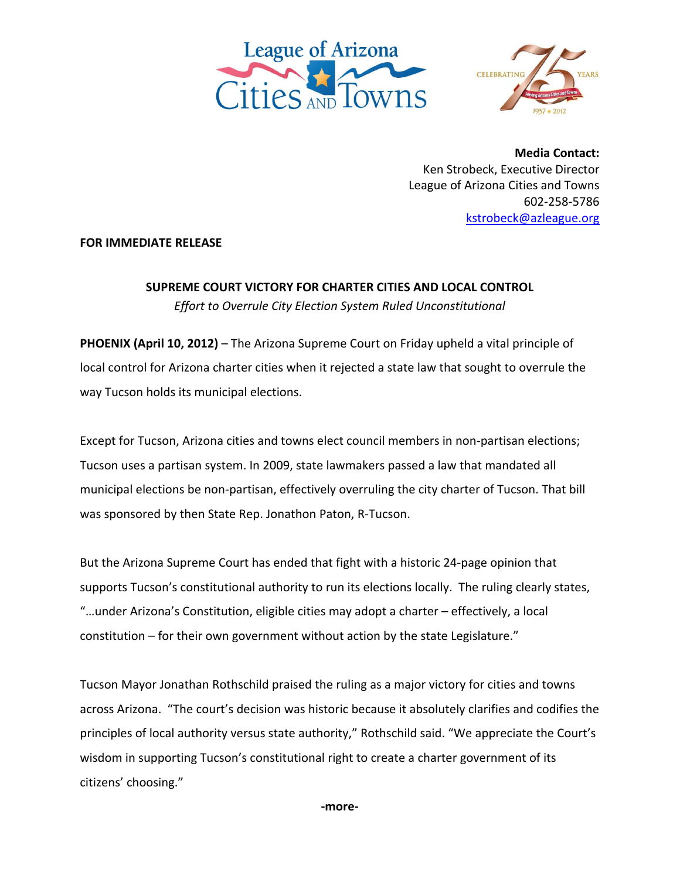



**Media Contact:** Ken Strobeck, Executive Director League of Arizona Cities and Towns 602‐258‐5786 kstrobeck@azleague.org

## **FOR IMMEDIATE RELEASE**

**SUPREME COURT VICTORY FOR CHARTER CITIES AND LOCAL CONTROL**  *Effort to Overrule City Election System Ruled Unconstitutional* 

**PHOENIX (April 10, 2012)** – The Arizona Supreme Court on Friday upheld a vital principle of local control for Arizona charter cities when it rejected a state law that sought to overrule the way Tucson holds its municipal elections.

Except for Tucson, Arizona cities and towns elect council members in non‐partisan elections; Tucson uses a partisan system. In 2009, state lawmakers passed a law that mandated all municipal elections be non‐partisan, effectively overruling the city charter of Tucson. That bill was sponsored by then State Rep. Jonathon Paton, R‐Tucson.

But the Arizona Supreme Court has ended that fight with a historic 24‐page opinion that supports Tucson's constitutional authority to run its elections locally. The ruling clearly states, "…under Arizona's Constitution, eligible cities may adopt a charter – effectively, a local constitution – for their own government without action by the state Legislature."

Tucson Mayor Jonathan Rothschild praised the ruling as a major victory for cities and towns across Arizona. "The court's decision was historic because it absolutely clarifies and codifies the principles of local authority versus state authority," Rothschild said. "We appreciate the Court's wisdom in supporting Tucson's constitutional right to create a charter government of its citizens' choosing."